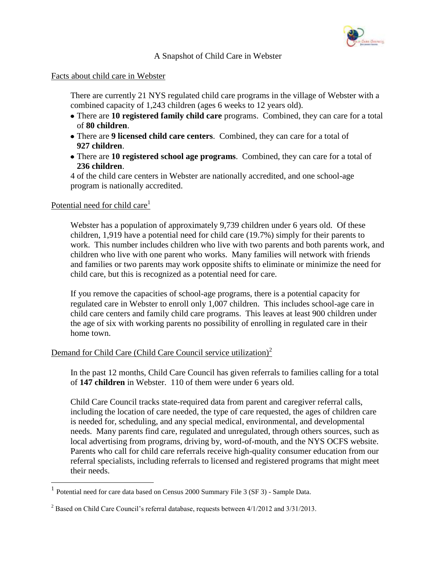

## A Snapshot of Child Care in Webster

### Facts about child care in Webster

There are currently 21 NYS regulated child care programs in the village of Webster with a combined capacity of 1,243 children (ages 6 weeks to 12 years old).

- There are **10 registered family child care** programs. Combined, they can care for a total of **80 children**.
- There are **9 licensed child care centers**. Combined, they can care for a total of **927 children**.
- There are **10 registered school age programs**. Combined, they can care for a total of **236 children**.

4 of the child care centers in Webster are nationally accredited, and one school-age program is nationally accredited.

#### Potential need for child care<sup>1</sup>

 $\overline{a}$ 

Webster has a population of approximately 9,739 children under 6 years old. Of these children, 1,919 have a potential need for child care (19.7%) simply for their parents to work. This number includes children who live with two parents and both parents work, and children who live with one parent who works. Many families will network with friends and families or two parents may work opposite shifts to eliminate or minimize the need for child care, but this is recognized as a potential need for care.

If you remove the capacities of school-age programs, there is a potential capacity for regulated care in Webster to enroll only 1,007 children. This includes school-age care in child care centers and family child care programs. This leaves at least 900 children under the age of six with working parents no possibility of enrolling in regulated care in their home town.

## Demand for Child Care (Child Care Council service utilization) $2$

In the past 12 months, Child Care Council has given referrals to families calling for a total of **147 children** in Webster. 110 of them were under 6 years old.

Child Care Council tracks state-required data from parent and caregiver referral calls, including the location of care needed, the type of care requested, the ages of children care is needed for, scheduling, and any special medical, environmental, and developmental needs. Many parents find care, regulated and unregulated, through others sources, such as local advertising from programs, driving by, word-of-mouth, and the NYS OCFS website. Parents who call for child care referrals receive high-quality consumer education from our referral specialists, including referrals to licensed and registered programs that might meet their needs.

<sup>&</sup>lt;sup>1</sup> Potential need for care data based on Census 2000 Summary File 3 (SF 3) - Sample Data.

 $2^2$  Based on Child Care Council's referral database, requests between 4/1/2012 and 3/31/2013.